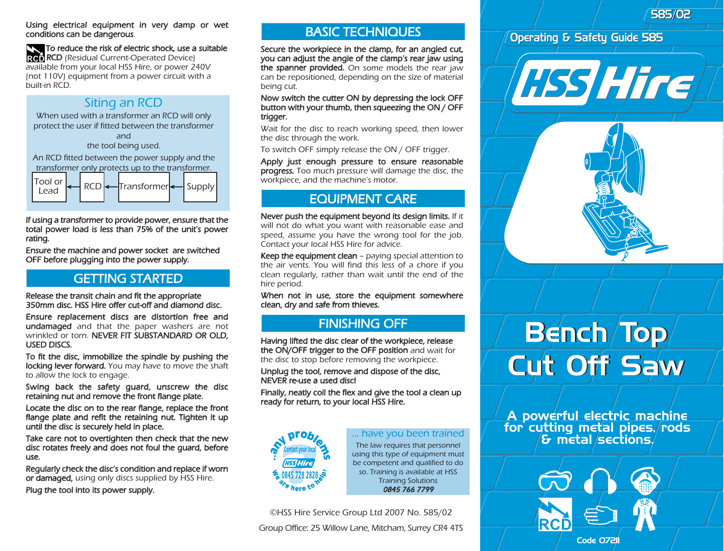585/02 585/02

#### Using electrical equipment in very damp or wet conditions can be dangerous.

#### To reduce the risk of electric shock, use a suitable

**RCD** (Residual Current-Operated Device) available from your local HSS Hire, or power 240V (not 110V) equipment from a power circuit with a built-in RCD.

#### Siting an RCD

When used with a transformer an RCD will only protect the user if fitted between the transformer and

the tool being used.

An RCD fitted between the power supply and the transformer only protects up to the transformer.



If using a transformer to provide power, ensure that the total power load is less than 75% of the unit's power rating.

Ensure the machine and power socket are switched OFF before plugging into the power supply.

# GETTING STARTED

Release the transit chain and fit the appropriate 350mm disc. HSS Hire offer cut-off and diamond disc.

Ensure replacement discs are distortion free and undamaged and that the paper washers are not wrinkled or torn. NEVER FIT SUBSTANDARD OR OLD. USED DISCS.

To fit the disc, immobilize the spindle by pushing the locking lever forward. You may have to move the shaft to allow the lock to engage.

Swing back the safety guard, unscrew the disc retaining nut and remove the front flange plate.

Locate the disc on to the rear flange, replace the front flange plate and refit the retaining nut. Tighten it up until the disc is securely held in place.

Take care not to overtighten then check that the new disc rotates freely and does not foul the guard, before use.

Regularly check the disc's condition and replace if worn or damaged, using only discs supplied by HSS Hire. Plug the tool into its power supply.

#### BASIC TECHNIQUES

Secure the workpiece in the clamp, for an angled cut, you can adjust the angle of the clamp's rear jaw using the spanner provided. On some models the rear jaw can be repositioned, depending on the size of material being cut.

Now switch the cutter ON by depressing the lock OFF button with your thumb, then squeezing the ON / OFF trigger.

Wait for the disc to reach working speed, then lower the disc through the work.

To switch OFF simply release the ON / OFF trigger.

Apply just enough pressure to ensure reasonable progress. Too much pressure will damage the disc, the workpiece, and the machine's motor.

# EQUIPMENT CARE

Never push the equipment beyond its design limits. If it will not do what you want with reasonable ease and speed, assume you have the wrong tool for the job. Contact your local HSS Hire for advice.

Keep the equipment clean  $-$  paying special attention to the air vents. You will find this less of a chore if you clean regularly, rather than wait until the end of the hire period.

When not in use, store the equipment somewhere clean, dry and safe from thieves.

# FINISHING OFF

Having lifted the disc clear of the workpiece, release the ON/OFF trigger to the OFF position and wait for the disc to stop before removing the workpiece.

Unplug the tool, remove and dispose of the disc, NEVER re-use a used disc!

Finally, neatly coil the flex and give the tool a clean up ready for return, to your local HSS Hire.



#### ... have you been trained

The law requires that personnel using this type of equipment must be competent and qualified to do so. Training is available at HSS Training Solutions 0845 766 7799

©HSS Hire Service Group Ltd 2007 No. 585/02

Group Office: 25 Willow Lane, Mitcham, Surrey CR4 4TS

#### Operating & Safety Guide 585

**HSS Hire** 



# Bench/Top/ Cut Off Saw Cut Off Saw

A powerful electric machine for cutting metal pipes, rods  $\epsilon$  metal/sections/